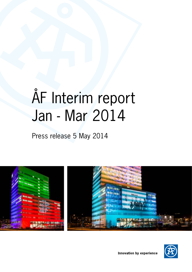# ÅF Interim report Jan - Mar 2014

Press release 5 May 2014



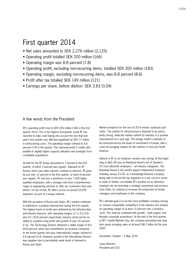# First quarter 2014

- Net sales amounted to SEK 2,276 million (2,125)
- Operating profit totalled SEK 200 million (166)
- Operating margin was 8.8 percent (7.8)
- Operating profit, excluding non-recurring items, totalled SEK 200 million (183)
- Operating margin, excluding non-recurring items, was 8.8 percent (8.6)
- Profit after tax totalled SEK 149 million (121)
- Earnings per share, before dilution: SEK 3.83 (3.04)

# A few words from the President

ÅF's operating profit rose to SEK 200 million (166) in the first quarter 2014. This is the highest first-quarter result ÅF has reported to date, even taking into account the fact that last year's first quarter was affected negatively by SEK 17 million in restructuring costs. The operating margin climbed to 8.8 percent (7.8) in the quarter. The improved profit is chiefly attributable to slightly higher capacity utilisation and synergies from completed acquisitions.

Growth for the ÅF Group amounted to 7 percent in the first quarter, of which 3 percent was organic. Adjusted for ÅF Russia, which saw sales volumes continue to diminish, ÅF grew by just over 12 percent in the first quarter, of which 8 percent was organic. ÅF now has a workforce of over 7,000 highly qualified employees, with a stronger and more comprehensive range of engineering services to offer our customers than ever before. On top of that, ÅF offers access to around 20,000 engineers as part of a unique network.

With the exception of Russia and Spain, ÅF's market continued to experience a gradual improvement during the first quarter. The highest levels of profit were delivered by the Infrastructure and Industry divisions, with operating margins of 11.9 (13.9) and 10.1 (8.0) percent respectively. Industry stood out for its ability to combine rising profit with growth of over 20 percent in Q1. The Technology Division delivered a stable margin of 8.6 (8.6) percent, which was nevertheless an increase compared to the fourth quarter last year. International's margin climbed to 4.0 percent (2.4). However, growth in the International Division was negative due to persistently weak levels of demand in Russia and Spain.

Market prospects for the rest of 2014 remain cautiously optimistic. The market for infrastructure is deemed to be persistently strong, while the market outlook for Industry is a positive improvement on a year ago. The energy market continues to be characterised by low levels of investment in Europe, with a more encouraging outlook for the markets in Asia and South America.

Interest in ÅF as an employer remains very strong. At the beginning of April, ÅF was on Randstad Award's list of Sweden's 20 most attractive employers – all industry categories. The Randstad Award is the world's largest independent employer branding survey. For ÅF, as a knowledge-intensive company, being able to recruit the top engineers is a key success factor. In order to further consolidate ÅF's position as an attractive employer we are launching a strategic investment and process, Even Odds, to continue to increase the proportion of female managers and employees in the company.

ÅF's ultimate goal is to be the most profitable company among its closest comparable competitors in the industry and achieve an operating margin of at least 10 percent over a business cycle. This shall be combined with growth – both organic and through corporate acquisitions. At the end of the first quarter, at ÅF's Capital Markets Day, the company presented new longterm goals including sales of at least EUR 2 billion by the year 2020.

Stockholm, Sweden – 5 May, 2014

Jonas Wiström President and CEO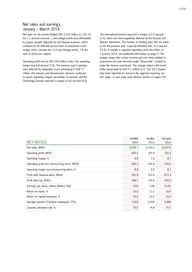# Net sales and earnings, January – March 2014

Net sales for the period totalled SEK 2,276 million (2,125). Of the 7.1 percent increase, 3 percentage points was attributable to organic growth. Adjusted for the Russian business, which continues to be affected by low levels of investment in the energy sector, growth was 12.4 percentage points, 7.8 percent of which was organic.

Operating profit rose to SEK 200 million (166). The operating margin was 8.8 percent (7.8). The previous year's earnings were affected by integration costs amounting to SEK 17 million. The Industry and Infrastructure divisions continued to report operating margins exceeding 10 percent, and the Technology Division reported a margin of 8.6 percent (8.6).

The International Division reported a margin of 4.0 percent (2.4), which has been negatively affected by the Russian and Spanish operations. The number of working days was the same as for the previous year. Capacity utilisation was 75.0 percent (74.8). A change to segment reporting came into effect on 1 January 2014, see additional information on page 9. This change means that certain income and cost items related to acquisitions are now reported under "Group-wide", instead of under the division concerned. This change reduces the result under Group-wide by SEK 5.7 million (2.2). The 2013 figures have been adjusted pro forma in the segment reporting section, page 13, and under each division section on pages 5-8.

|                                                 | Jan-Mar | Jan-Mar | Full year |
|-------------------------------------------------|---------|---------|-----------|
| <b>KEY RATIOS</b>                               | 2014    | 2013    | 2013      |
| Net sales, MSEK                                 | 2,275.7 | 2,125.0 | 8,337.0   |
| Operating profit, MSEK                          | 200.3   | 165.8   | 722.5     |
| Operating margin, %                             | 8.8     | 7.8     | 8.7       |
| Operating profit excl non-recurring items, MSEK | 200.3   | 182.8   | 724.4     |
| Operating margin excl non-recurring items, %    | 8.8     | 8.6     | 8.7       |
| Profit after financial items, MSEK              | 191.9   | 153.9   | 677.3     |
| Profit after tax, MSEK                          | 148.7   | 120.6   | 525.5     |
| Earnings per share, before dillution, SEK       | 3.83    | 3.04    | 13.41     |
| Return on equity, %                             | 15.5    | 13.3    | 15.0      |
| Return on capital employed, %                   | 15.9    | 15.0    | 15.4      |
| Average number of full-time employees, FTEs     | 7,023   | 6,554   | 6,666     |
| Capacity utilisation rate, %                    | 75.0    | 74.8    | 75.1      |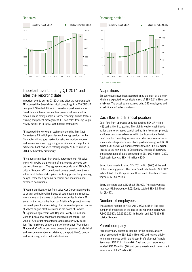

# Important events during Q1 2014 and after the reporting date

Important events during Q1 2014 and after the reporting date ÅF acquired the Swedish technical consulting firm ES-KONSULT Energi och Säkerhet AB, which provides expert services to Swedish and international nuclear power customers within areas such as safety analysis, safety reporting, human factors, training and project management. ES had sales totalling roughly SEK 70 million in 2013, with healthy profitability.

ÅF acquired the Norwegian technical consulting firm Xact Consultance AS, which provides engineering services to the Norwegian oil and gas market focusing on topside, subsea and maintenance and upgrading of equipment and rigs for oil extraction. Xact had sales totalling roughly NOK 85 million in 2013, with healthy profitability.

ÅF signed a significant framework agreement with AB Volvo, which will involve the provision of engineering services over the next three years. The agreement extends to all AB Volvo's units in Sweden. ÅF's commitment covers development work within most technical disciplines, including product engineering, design, embedded systems, technical documentation and advanced calculations.

ÅF won a significant order from Volvo Car Corporation relating to design and build within industrial automation and robotics, which is one of the areas of technical expertise in which ÅF excels in the automotive industry. Briefly, ÅF's project involves the development and rebuilding of an automated production line at Volvo's engine plant in Skövde in the south of Sweden. ÅF signed an agreement with Uppsala County Council services to plan a new healthcare and treatment centre. The value of ÅF's order amounted to approximately SEK 56 million. The healthcare centre is part of the project "Framtidens Akademiska", ÅF's undertaking covers the planning of electrical and telecommunication installations, transport, HVAC, control and monitoring, and sound and vibrations

#### Net sales **Operating profit** \*)



\*) excl non-recurring items

### **Acquisitions**

Six businesses have been acquired since the start of the year, which are expected to contribute sales of SEK 224 million over a full-year. The acquired companies bring 141 employees and an additional 45 sub-consultants.

# Cash flow and financial position

Cash flow from operating activities totalled SEK 37 million (43) during the first quarter. The slightly weaker cash flow is attributable to increased capital tied up in a few major projects and lower customer advances within the International Division. Cash flow from investing activities includes corporate acquisitions and contingent considerations paid amounting to SEK 60 million (23), as well as disbursements totalling SEK 15 million related to the new office in Gothenburg. The net of borrowing and amortisation of loans amounted to SEK 100 million (-230). Total cash flow was SEK 44 million (-220).

Group liquid assets totalled SEK 231 million (268) at the end of the reporting period. The Group's net debt totalled SEK 912 million (867). The Group has unutilised credit facilities amounting to SEK 654 million.

Equity per share was SEK 98.85 (88.97). The equity/assets ratio was 51.9 percent (48.5). Equity totalled SEK 3,840 million (3,487).

# Number of employees

The average number of FTEs was 7,023 (6,554). The total number of employees at the end of the reporting period was 7,300 (6,930): 5,529 (5,292) in Sweden and 1,771 (1,638) outside Sweden.

### Parent company

Parent company operating income for the period January– March amounted to SEK 125 million (96) and relates chiefly to internal services within the Group. Profit after net financial items was SEK 111 million (-16). Cash and cash equivalents totalled SEK 45 million (16) and gross investment in non-current assets was SEK 22 million (4).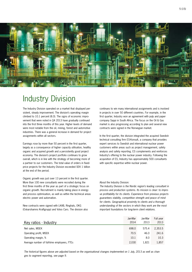

# Industry Division

The Industry Division operated on a market that displayed persistent, steady improvement. The division's operating margin climbed to 10.1 percent (8.0). The signs of economic improvement that were noted in Q4 2013 have gradually continued into the first three months of this year. Higher levels of demand were most notable from the oil, mining, forest and automotive industries. There was a general increase in demand for project assignments within all sectors.

Earnings rose by more than 50 percent in the first quarter, largely as a consequence of higher capacity utilisation, healthy organic and acquired growth and a persistently good project economy. The division's project portfolio continues to grow overall, which is in line with the strategy of becoming more of a partner to our customers. The total value of orders in fixedprice projects for the Industry Division exceeded SEK 1 billion at the end of the period.

Organic growth was just over 13 percent in the first quarter. More than 100 new consultants were recruited during the first three months of the year as part of a strategic focus on organic growth. Recruitment is mainly taking place in energy and process optimisation, as well as within the technical areas electric power and automation.

New contracts were signed with LKAB, Ringhals, OKG (Oskarshamns Kraftgrupp) and Volvo Cars. The division also continues to win many international assignments and is involved in projects in over 50 different countries. For example, in the first quarter, Industry won an agreement with pulp and paper company Sappi in South Africa. The focus on the Oil & Gas market is also progressing according to plan and several new contracts were signed in the Norwegian market.

In the first quarter, the division integrated the acquired Swedish technical consulting firm ES-Konsult, a company that provides expert services to Swedish and international nuclear power customers within areas such as project management, safety analysis and safety reporting. ES complements and reinforces Industry's offering to the nuclear power industry. Following the acquisition of ES, Industry has approximately 500 consultants with specific expertise within nuclear power.

#### About the Industry Division:

*The Industry Division is the Nordic region's leading consultant in process and production systems. Its mission is clear: to improve profitability for its clients. Experience from previous projects guarantees stability, competitive strength and peace of mind for clients. Geographical proximity to clients and a thorough understanding of the sectors in which they work are the most important foundations for long-term client relations.*

|                                             | Jan-Mar | Jan-Mar | Full year |
|---------------------------------------------|---------|---------|-----------|
| Key ratios - Industry                       | 2014    | 2013    | 2013      |
| Net sales, MSEK                             | 698.0   | 575.4   | 2,353.5   |
| Operating profit, MSEK                      | 70.5    | 46.0    | 241.6     |
| Operating margin, %                         | 10.1    | 8.0     | 10.3      |
| Average number of full-time employees, FTEs | 2,030   | 1.821   | 1,857     |

*The historical figures above are adjusted based on the organisational changes implemented on 1 July, 2013 as well as changes to segment reporting, see page 9.*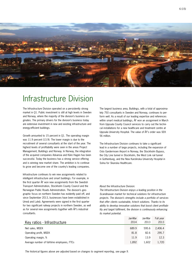

# Infrastructure Division

The Infrastructure Division operated on a persistently strong market in Q1. Public investment is still at high levels in Sweden and Norway, where the majority of the division's business originates. The primary drivers for the division's business today are extensive investment in new and existing infrastructure and energy-efficient buildings.

Growth amounted to 15 percent in Q1. The operating margin was 11.9 percent (13.9). The lower margin is due to the recruitment of several consultants at the start of the year. The highest levels of profitability were seen in the areas Project Management, Buildings and Norway. In Norway, the integration of the acquired companies Advansia and Kåre Hagen has been successful. Today the business has a strong service offering and is winning new market share. The ambition is to continue to grow and become one of the country's leading companies.

Infrastructure continues to win new assignments related to intelligent infrastructure and smart buildings. For example, in the first quarter ÅF won new assignments from the Swedish Transport Administration, Stockholm County Council and the Norwegian Public Roads Administration. The division's geographic focus on northern Sweden has evidently paid off, and since September 2013, businesses have been established in Umeå and Luleå. Agreements were signed in the first quarter for two significant railway projects in northern Sweden, as well as for several new assignments together with ÅF's industrial consultants.

The largest business area, Buildings, with a total of approximately 750 consultants in Sweden and Norway, continues to perform well. As a result of our leading expertise and references within smart medical buildings, ÅF won an assignment in March from Uppsala County Council services to carry out the technical installations for a new healthcare and treatment centre at Uppsala University Hospital. The value of ÅF's order was SEK 56 million.

The Infrastructure Division continues to take a significant lead in a number of large projects, including the expansion of Oslo Gardermoen Airport in Norway, the Stockholm Bypass, the City Line tunnel in Stockholm, the West Link rail tunnel in Gothenburg, and the New Karolinska University Hospital in Solna for Skanska Healthcare.

#### About the Infrastructure Division:

*The Infrastructure Division enjoys a leading position in the Scandinavian market for technical solutions for infrastructure projects. The division's strengths include a portfolio of services that offer clients sustainable, hi-tech solutions. Thanks to its ability to develop innovative solutions that boost client profitability and target fulfilment, the division is continuously enhancing its market potential.*

|                                             | Jan-Mar | Jan-Mar | Full year |
|---------------------------------------------|---------|---------|-----------|
| Key ratios - Infrastructure                 | 2014    | 2013    | 2013      |
| Net sales, MSEK                             | 689.9   | 595.6   | 2.406.4   |
| Operating profit, MSEK                      | 81.8    | 82.6    | 295.7     |
| Operating margin, %                         | 11.9    | 13.9    | 12.3      |
| Average number of full-time employees, FTEs | 1,892   | 1.602   | 1,720     |

*The historical figures above are adjusted based on changes to segment reporting, see page 9.*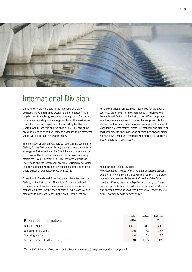

# International Division

Demand for energy projects in the International Division's domestic markets remained weak in the first quarter. This is largely down to declining electricity consumption in Europe and uncertainty regarding future energy solutions. The weak situation in Europe was compensated for in part by healthy order levels in South-East Asia and the Middle East. In terms of the division's areas of expertise, demand continued to be strongest within hydropower and renewable energy.

The International Division was able to report an increase in profitability for the first quarter, largely thanks to improvements in earnings in Switzerland and the Czech Republic, which account for a third of the division's revenues. The division's operating margin rose to 4.0 percent (2.4). The improved earnings in Switzerland and the Czech Republic were attributable to higher capacity utilisation within the thermal and nuclear power areas, where utilisation was relatively weak in 2013.

Operations in Russia and Spain had a negative effect on profitability in the first quarter. The inflow of orders continued to be weak for these two businesses. Management is fully focused on increasing the pace of sales activities and various measures to boost efficiency. In the middle of the first quar-

ter, a new management team was appointed for the Spanish business. Order levels for the International Division were on the whole satisfactory. In the first quarter, ÅF was appointed to act as owner's engineer for a new thermal power plant in Morocco and for a significant modernisation project on one of Macedonia's largest thermal plants. International also signed an additional order in Myanmar for an ongoing hydropower project. In Finland, ÅF signed an agreement with Stora Enso within the area of operational optimisation.

#### About the International Division:

*The International Division offers technical consulting services, primarily in the energy and infrastructure sectors. The division's domestic markets are Switzerland, Finland and the Baltic countries, Russia, the Czech Republic and Spain, but it also performs projects in around 70 countries worldwide. The division enjoys a strong position within renewable energy, thermal power, hydropower and nuclear power.*

|                                             | Jan-Mar | Jan-Mar | Full year |
|---------------------------------------------|---------|---------|-----------|
| Key ratios - International                  | 2014    | 2013    | 2013      |
| Net sales, MSEK                             | 249.1   | 331.1   | 1,224.9   |
| Operating profit, MSEK                      | 10.0    | 8.0     | 73.5      |
| Operating margin, %                         | 4.0     | 2.4     | 6.0       |
| Average number of full-time employees, FTEs | 1,140   | 1.132   | 1,123     |

*The historical figures above are adjusted based on changes to segment reporting, see page 9.*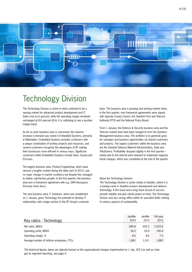

# Technology Division

The Technology Division is active in what continued to be a varying market for advanced product development and IT. Sales rose by 6 percent, while the operating margin remained unchanged at 8.6 percent (8.6). It is satisfying to see a positive margin trend.

As far as each business area is concerned, the clearest increase in demand was noted in Embedded Systems, primarily in Mälardalen. Embedded Systems provides customers with a unique combination of turnkey projects and resources, and several customers recognise the advantages of ÅF making their businesses more efficient in various ways. Significant customers within Embedded Systems include Volvo, Scania and Ericsson.

The largest business area, Product Engineering, which experienced a tougher market during the latter part of 2013, saw no major change in market conditions but despite this managed to deliver satisfactory growth. In the first quarter, the business area won a framework agreement with e.g. GKN Aerospace (formerly Volvo Aero).

The new business area, IT Solutions, which was established on 1 January, gives Technology the potential to develop IT relationships with a large section of the ÅF Group's customer base. The business area is growing and winning market share. In the first quarter, new framework agreements were signed with Uppsala County Council, the Swedish Post and Telecom Authority (PTS) and the National Police Board.

From 1 January, the Defence & Security business area and the Telecom market area have been merged to form the Systems Management business area. The ambition is to generate greater synergies and business opportunities via shared customers and projects. The largest customers within the business area are the Swedish Defence Materiel Administration, Saab and TeliaSonera. Profitability dropped slightly in the first quarter – mainly due to the internal work required to implement organisational changes, which was completed at the end of the quarter.

#### About the Technology Division:

*The Technology Division is active mainly in Sweden, where it is a leading name in Swedish product development and defence technology. A firm base and a long track record of success provide stability and give clients peace of mind. The Technology Division also has strong offers within its specialist fields relating to various aspects of sustainability.* 

|                                             | Jan-Mar | Jan-Mar | Full year |
|---------------------------------------------|---------|---------|-----------|
| Key ratios - Technology                     | 2014    | 2013    | 2013      |
| Net sales, MSEK                             | 689.8   | 650.3   | 2.522.6   |
| Operating profit, MSEK                      | 59.2    | 55.9    | 190.4     |
| Operating margin, %                         | 8.6     | 8.6     | 7.5       |
| Average number of full-time employees, FTEs | 1,861   | 1.911   | 1,882     |

*The historical figures above are adjusted based on the organisational changes implemented on 1 July, 2013 as well as changes to segment reporting, see page 9.*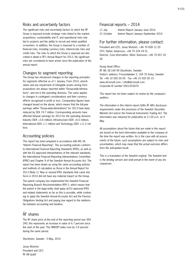### Risks and uncertainty factors

The significant risks and uncertainty factors to which the ÅF Group is exposed include strategic risks linked to the market, acquisitions, sustainability and IT, and operational risks related to projects and the ability to recruit and retain qualified co-workers. In addition, the Group is exposed to a number of financial risks, including currency risks, interest-rate risks and credit risks. The risks to which the Group is exposed are described in detail in ÅF's Annual Report for 2013. No significant risks are considered to have arisen since the publication of the annual report.

### Changes to segment reporting

The Group has introduced changes to the reporting principles for segments effective as of 1 January. From 2014, amortisation and any impairment of intangible assets arising from acquisitions are always reported within "Group-wide/eliminations", and not in the operating divisions. The same applies to changes in contingent considerations and their currency effects recognised in profit or loss. Comparative figures have changed based on the above, which means that the full-year earnings within "Group-wide/eliminations" for 2013 have been reduced by SEK 19.7 million. Corresponding amounts have affected full-year earnings for 2013 for the operating divisions Industry (SEK +3.6 million), Infrastructure (SEK +6.0 million), International (SEK -1.1 million) and Technology (SEK +11.2 million).

# Accounting policies

This report has been prepared in accordance with IAS 34, "Interim Financial Reporting". The accounting policies conform to International Financial Reporting Standards (IFRS), as well as with the EU approved interpretations of the relevant standards, the International Financial Reporting Interpretations Committee (IFRIC) and Chapter 9 of the Swedish Annual Accounts Act. The report has been drawn up using the same accounting policies and methods of calculation as those in the Annual Report for 2013 (Note 1). New or revised IFRS standards that came into force in 2014 did not have any material impact on the Group.

The parent company has implemented the Swedish Financial Reporting Board's Recommendation RFR 2, which means that the parent in the legal entity shall apply all EU approved IFRS and related statements as far as this is possible, while continuing to apply the Swedish Annual Accounts Act and the Pension Obligations Vesting Act and paying due regard to the relationship between accounting and taxation.

# ÅF shares

The ÅF share price at the end of the reporting period was SEK 240; this represents an increase in value of 6.7 percent since the start of the year. The OMXSPI index rose by 3.9 percent during the same period.

Stockholm, Sweden - 5 May, 2014

Jonas Wiström President and CEO ÅF AB (publ)

# Financial reports – 2014

11 July Interim Report January–June 2014 21 October Interim Report January–September 2014

# For further information, please contact:

President and CEO, Jonas Wiström, +46 70 608 12 20 CFO, Stefan Johansson, +46 70 224 24 01 Director, Corp Information, Viktor Svensson, +46 70 657 20 26

Group Head Office:

ÅF AB, SE-169 99 Stockholm, Sweden Visitors' address: Frösundaleden 2, 169 70 Solna, Sweden Tel. +46 10 505 00 00 Fax +46 10 505 00 10 www.afconsult.com / info@afconsult.com Corporate ID number 556120-6474

*This report has not been subject to review by the company's auditors.*

*The information in this interim report fulfils ÅF AB's disclosure requirements under the provisions of the Swedish Securities Markets Act and/or the Financial Instruments Trading Act. The information was released for publication at 11.00 a.m. on 5 May.*

*All assumptions about the future that are made in this report are based on the best information available to the company at the time the report was written. As is the case with all assessments of the future, such assumptions are subject to risks and uncertainties, which may mean that the actual outcome differs from the anticipated result.*

*This is a translation of the Swedish original. The Swedish text is the binding version and shall prevail in the event of any discrepancies.*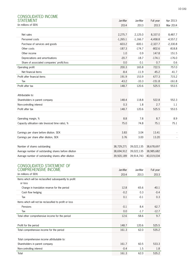| <b>CONSOLIDATED INCOME</b>                           |            |            |            |            |
|------------------------------------------------------|------------|------------|------------|------------|
| <b>STATEMENT</b>                                     | Jan-Mar    | Jan-Mar    | Full year  | Apr 2013-  |
| (in millions of SEK)                                 | 2014       | 2013       | 2013       | Mar 2014   |
|                                                      |            |            |            |            |
| Net sales                                            | 2,275.7    | 2,125.0    | 8,337.0    | 8,487.7    |
| Personnel costs                                      | $-1,265.1$ | $-1,166.7$ | $-4,458.8$ | $-4,557.2$ |
| Purchase of services and goods                       | $-603.2$   | $-600.1$   | $-2,327.7$ | $-2,330.8$ |
| Other costs                                          | $-187.3$   | $-174.7$   | $-802.6$   | $-818.8$   |
| Other income                                         | 1.0        | 0.9        | 147.8      | 151.5      |
| Depreciations and amortisations                      | $-20.7$    | $-18.7$    | $-174.1$   | $-176.0$   |
| Share of associated companies' profit/loss           | 0.0        | 0.1        | 0.7        | 0.6        |
| Operating profit                                     | 200.3      | 165.8      | 722.5      | 757.0      |
| Net financial items                                  | $-8.4$     | $-11.9$    | $-45.2$    | $-41.7$    |
| Profit after financial items                         | 191.9      | 153.9      | 677.3      | 715.2      |
| Tax                                                  | $-43.2$    | $-33.3$    | $-151.8$   | $-161.8$   |
| Profit after tax                                     | 148.7      | 120.6      | 525.5      | 553.5      |
|                                                      |            |            |            |            |
| Attributable to:                                     |            |            |            |            |
| Shareholders in parent company                       | 148.4      | 118.8      | 522.8      | 552.3      |
| Non-controlling interest                             | 0.3        | 1.8        | 2.7        | 1.1        |
| Profit after tax                                     | 148.7      | 120.6      | 525.5      | 553.5      |
|                                                      |            |            |            |            |
| Operating margin, %                                  | 8.8        | 7.8        | 8.7        | 8.9        |
| Capacity utilisation rate (invoiced time ratio), %   | 75.0       | 74.8       | 75.1       | 75.1       |
|                                                      |            |            |            |            |
| Earnings per share before dilution. SEK              | 3.83       | 3.04       | 13.41      |            |
| Earnings per share after dilution, SEK               | 3.76       | 3.00       | 13.20      |            |
|                                                      |            |            |            |            |
| Number of shares outstanding                         | 38,729,271 | 39,022,135 | 38,678,697 |            |
| Average number of outstanding shares before dilution | 38,694,912 | 39,022,135 | 38,985,682 |            |
| Average number of outstanding shares after dilution  | 39,920,189 | 39,914,743 | 40,019,034 |            |
|                                                      |            |            |            |            |

# CONSOLIDATED STATEMENT OF

| <b>COMPREHENSIVE INCOME</b>                             | Jan-Mar | Jan-Mar | Full year |
|---------------------------------------------------------|---------|---------|-----------|
| (in millions of SEK)                                    | 2014    | 2013    | 2013      |
| Items which will be reclassified subsequently to profit |         |         |           |
| or loss                                                 |         |         |           |
| Change in translation reserve for the period            | 12.8    | $-65.6$ | $-40.1$   |
| Cash flow hedging                                       | $-0.2$  | 0.3     | $-0.4$    |
| Tax                                                     | 0.1     | $-0.1$  | 0.3       |
| Items which will not be reclassified to profit or loss  |         |         |           |
| Pensions                                                | $-0.1$  | 8.4     | 62.7      |
| Tax                                                     | 0.0     | $-1.7$  | $-12.7$   |
| Total other comprehensive income for the period         | 12.6    | $-58.6$ | 9.7       |
|                                                         |         |         |           |
| Profit for the period                                   | 148.7   | 120.6   | 525.5     |
| Total comprehensive income for the period               | 161.3   | 62.0    | 535.2     |
|                                                         |         |         |           |
| Total comprehensive income attributable to:             |         |         |           |
| Shareholders in parent company                          | 161.7   | 60.5    | 533.3     |
| Non-controlling interest                                | $-0.4$  | 1.5     | 1.8       |
| Total                                                   | 161.3   | 62.0    | 535.2     |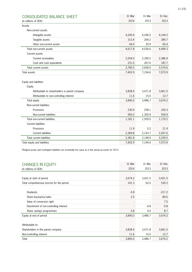| CONSOLIDATED BALANCE SHEET                     | 31 Mar  | 31 Mar  | 31 Dec  |
|------------------------------------------------|---------|---------|---------|
| (in millions of SEK)                           | 2014    | 2013    | 2013    |
| Assets                                         |         |         |         |
| Non-current assets                             |         |         |         |
| Intangible assets                              | 4,240.4 | 4,246.5 | 4,144.2 |
| Tangible assets                                | 313.4   | 269.2   | 289.7   |
| Other non-current assets                       | 64.0    | 20.9    | 65.4    |
| Total non-current assets                       | 4,617.8 | 4,536.6 | 4,499.3 |
| Current assets                                 |         |         |         |
| Current receivables                            | 2,554.0 | 2,390.5 | 2,386.9 |
| Cash and cash equivalents                      | 231.0   | 267.6   | 187.7   |
| Total current assets                           | 2,785.0 | 2,658.0 | 2,574.6 |
| <b>Total assets</b>                            | 7,402.9 | 7,194.6 | 7,073.9 |
|                                                |         |         |         |
| Equity and liabilities                         |         |         |         |
| Equity                                         |         |         |         |
| Attributable to shareholders in parent company | 3,828.4 | 3,471.8 | 3,661.5 |
| Attributable to non-controlling interest       | 11.6    | 15.0    | 12.7    |
| Total equity                                   | 3,840.0 | 3,486.7 | 3,674.2 |
| Non-current liabilities                        |         |         |         |
| Provisions                                     | 230.9   | 258.1   | 230.3   |
| Non-current liabilities                        | 950.2   | 1,300.9 | 939.9   |
| Total non-current liabilities                  | 1,181.1 | 1,559.0 | 1,170.2 |
| <b>Current liabilities</b>                     |         |         |         |
| Provisions                                     | 11.9    | 5.2     | 21.9    |
| <b>Current liabilities</b>                     | 2,369.8 | 2,143.7 | 2,207.6 |
| Total current liabilities                      | 2,381.8 | 2,148.9 | 2,229.5 |
| Total equity and liabilities                   | 7,402.9 | 7,194.6 | 7,073.9 |

Pledged assets and Contingent liabilities are essentially the same as in the annual accounts for 2013.

| <b>CHANGES IN EQUITY</b>                  | 31 Mar  | 31 Mar  | 31 Dec   |
|-------------------------------------------|---------|---------|----------|
| (in millions of SEK)                      | 2014    | 2013    | 2013     |
|                                           |         |         |          |
| Equity at start of period                 | 3,674.2 | 3,421.5 | 3,421.5  |
| Total comprehensive inocme for the period | 161.3   | 62.0    | 535.2    |
|                                           |         |         |          |
| <b>Dividends</b>                          | $-0.8$  |         | $-217.2$ |
| Share buy-backs/sales                     | 2.5     |         | $-80.6$  |
| Value of conversion right                 |         |         | 7.5      |
| Divestment of non-controlling interest    |         | $-0.8$  | $-0.8$   |
| Share savings programmes                  | 2.8     | 4.0     | 8.7      |
| Equity at end of period                   | 3,840.0 | 3,486.7 | 3,674.2  |
|                                           |         |         |          |
| Attributable to:                          |         |         |          |
| Shareholders in the parent company        | 3,828.4 | 3,471.8 | 3,661.5  |
| Non-controlling interest                  | 11.6    | 15.0    | 12.7     |
| Total                                     | 3,840.0 | 3,486.7 | 3,674.2  |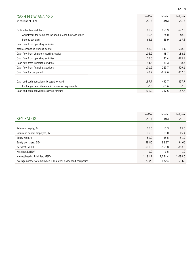| <b>CASH FLOW ANALYSIS</b>                                | Jan-Mar  | Jan-Mar  | Full year |
|----------------------------------------------------------|----------|----------|-----------|
| (in millions of SEK)                                     | 2014     | 2013     | 2013      |
|                                                          |          |          |           |
| Profit after financial items                             | 191.9    | 153.9    | 677.3     |
| Adjustment for items not included in cash flow and other | 16.5     | 24.0     | 48.6      |
| Income tax paid                                          | $-64.5$  | $-35.9$  | $-117.3$  |
| Cash flow from operating activities                      |          |          |           |
| before change in working capital                         | 143.9    | 142.1    | 608.6     |
| Cash flow from change in working capital                 | $-106.9$ | $-98.7$  | $-183.5$  |
| Cash flow from operating activities                      | 37.0     | 43.4     | 425.1     |
| Cash flow from investing activities                      | $-94.6$  | $-33.3$  | $-198.5$  |
| Cash flow from financing activities                      | 101.5    | $-229.7$ | $-529.1$  |
| Cash flow for the period                                 | 43.9     | $-219.6$ | $-302.6$  |
|                                                          |          |          |           |
| Cash and cash equivalents brought forward                | 187.7    | 497.7    | 497.7     |
| Exchange rate difference in cash/cash equivalents        | $-0.6$   | $-10.6$  | $-7.5$    |
| Cash and cash equivalents carried forward                | 231.0    | 267.6    | 187.7     |

|                                                               | Jan-Mar  | Jan-Mar  | Full year |
|---------------------------------------------------------------|----------|----------|-----------|
| <b>KEY RATIOS</b>                                             | 2014     | 2013     | 2013      |
|                                                               |          |          |           |
| Return on equity, %                                           | 15.5     | 13.3     | 15.0      |
| Return on capital employed, %                                 | 15.9     | 15.0     | 15.4      |
| Equity ratio, %                                               | 51.9     | 48.5     | 51.9      |
| Equity per share, SEK                                         | 98.85    | 88.97    | 94.66     |
| Net debt, MSEK                                                | $-911.8$ | $-866.8$ | $-853.3$  |
| Net debt/EBITDA                                               | 1.0      | 1.5      | 1.0       |
| Interest-bearing liabilities, MSEK                            | 1,191.1  | 1,134.4  | 1,089.0   |
| Average number of employees (FTEs) excl. associated companies | 7,023    | 6,554    | 6,666     |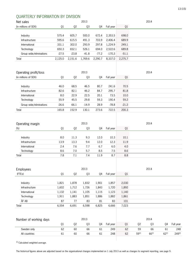# QUARTERLY INFORMATION BY DIVISION

| Net sales               |         |                | 2013    |         |           |         |                | 2014     |          |           |
|-------------------------|---------|----------------|---------|---------|-----------|---------|----------------|----------|----------|-----------|
| (in millions of SEK)    | Q1      | Q <sub>2</sub> | Q3      | Q4      | Full year | Q1      |                |          |          |           |
|                         |         |                |         |         |           |         |                |          |          |           |
| Industry                | 575.4   | 605.7          | 500.0   | 672.4   | 2,353.5   | 698.0   |                |          |          |           |
| Infrastructure          | 595.6   | 615.5          | 491.3   | 703.9   | 2,406.4   | 689.9   |                |          |          |           |
| International           | 331.1   | 302.0          | 293.9   | 297.8   | 1,224.9   | 249.1   |                |          |          |           |
| Technology              | 650.3   | 652.1          | 526.1   | 694.0   | 2,522.6   | 689.8   |                |          |          |           |
| Group wide/eliminations | $-27.5$ | $-23.8$        | $-41.8$ | $-77.2$ | $-170,3$  | $-51.1$ |                |          |          |           |
| Total                   | 2,125.0 | 2,151.6        | 1,769.6 | 2,290.7 | 8,337.0   | 2,275.7 |                |          |          |           |
|                         |         |                |         |         |           |         |                |          |          |           |
|                         |         |                |         |         |           |         |                |          |          |           |
| Operating profit/loss   |         |                | 2013    |         |           |         |                | 2014     |          |           |
| (in millions of SEK)    | Q1      | Q <sub>2</sub> | Q3      | Q4      | Full year | Q1      |                |          |          |           |
| Industry                | 46.0    | 68.5           | 46.5    | 80.7    | 241.6     | 70.5    |                |          |          |           |
| Infrastructure          | 82.6    | 82.1           | 46.2    | 84.7    | 295.7     | 81.8    |                |          |          |           |
| International           | 8.0     | 22.9           | 22.5    | 20.1    | 73.5      | 10.0    |                |          |          |           |
| Technology              | 55.9    | 45.5           | 29.8    | 59.3    | 190.4     | 59.2    |                |          |          |           |
| Group wide/eliminations | $-26.6$ | $-66.1$        | $-14.9$ | 28.9    | $-78.8$   | $-21.2$ |                |          |          |           |
|                         |         |                |         |         |           |         |                |          |          |           |
| Total                   | 165.8   | 152.9          | 130.1   | 273.6   | 722.5     | 200.3   |                |          |          |           |
|                         |         |                |         |         |           |         |                |          |          |           |
| Operating margin        |         |                | 2013    |         |           |         |                | 2014     |          |           |
| (%)                     | Q1      | Q <sub>2</sub> | Q3      | Q4      | Full year | Q1      |                |          |          |           |
|                         |         |                |         |         |           |         |                |          |          |           |
| Industry                | 8.0     | 11.3           | 9.3     | 12.0    | 10.3      | 10.1    |                |          |          |           |
| Infrastructure          | 13.9    | 13.3           | 9.4     | 12.0    | 12.3      | 11.9    |                |          |          |           |
| International           | 2.4     | 7.6            | 7.7     | 6.7     | 6.0       | 4.0     |                |          |          |           |
| Technology              | 8.6     | 7.0            | 5.7     | 8.5     | 7.5       | 8.6     |                |          |          |           |
| Total                   | 7.8     | 7.1            | 7.4     | 11.9    | 8.7       | 8.8     |                |          |          |           |
|                         |         |                |         |         |           |         |                |          |          |           |
|                         |         |                |         |         |           |         |                |          |          |           |
| Employees               |         |                | 2013    |         |           |         |                | 2014     |          |           |
| (FTEs)                  | Q1      | Q <sub>2</sub> | Q3      | Q4      | Full year | Q1      |                |          |          |           |
|                         |         |                |         |         |           |         |                |          |          |           |
| Industry                | 1,821   | 1,878          | 1,832   | 1,901   | 1,857     | 2,030   |                |          |          |           |
| Infrastructure          | 1,602   | 1,712          | 1,726   | 1,843   | 1,720     | 1,892   |                |          |          |           |
| International           | 1,132   | 1,141          | 1,105   | 1,115   | 1,123     | 1,140   |                |          |          |           |
| Technology              | 1,911   | 1,883          | 1,851   | 1,886   | 1,882     | 1,861   |                |          |          |           |
| ÅF AB                   | 87      | 77             | 83      | 81      | 83        | 101     |                |          |          |           |
| Total                   | 6,554   | 6,691          | 6,598   | 6,825   | 6,666     | 7,023   |                |          |          |           |
|                         |         |                |         |         |           |         |                |          |          |           |
|                         |         |                | 2013    |         |           |         |                | 2014     |          |           |
| Number of working days  |         |                |         |         |           |         |                |          |          |           |
|                         | Q1      | Q <sub>2</sub> | Q3      | Q4      | Full year | Q1      | Q <sub>2</sub> | Q3       | Q4       | Full year |
| Sweden only             | 62      | 60             | 66      | 61      | 249       | 62      | 59             | 66       | 61       | 248       |
| All countries           | 61      | 60             | 66      | 61      | 248       | 62      | $59^{1}$       | $66^{1}$ | $62^{1}$ | $249^{1}$ |
|                         |         |                |         |         |           |         |                |          |          |           |

<sup>1)</sup> Calculated weighted average.

The historical figures above are adjusted based on the organisational changes implemented on 1 July 2013 as well as changes to segment reporting, see page 9.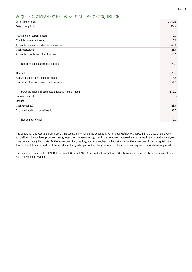#### 14 (15)

# ACQUIRED COMPANIES' NET ASSETS AT TIME OF ACQUISITION

| (in millions of SEK)                                   | Jan-Mar |
|--------------------------------------------------------|---------|
| Date of acquisition                                    | 2014    |
|                                                        |         |
| Intangible non-current assets                          | 0.1     |
| Tangible non-current assets                            | 0.9     |
| Accounts receivable and other receivables              | 40.0    |
| Cash equivalents                                       | 28.6    |
| Accounts payable and other liabilities                 | $-40.5$ |
| Net identifiable assets and liabilities                | 29.1    |
| Goodwill                                               | 79.3    |
| Fair value adjustment intangible assets                | 4.9     |
| Fair value adjustment non-current provisions           | $-1.1$  |
|                                                        |         |
| Purchase price incl estimated additional consideration | 112.2   |
| Transaction costs                                      |         |
| Deduct:                                                |         |
| Cash (acquired)                                        | 28.6    |
| Estimated additional consideration                     | 38.5    |
|                                                        |         |
| Net outflow of cash                                    | 45.1    |

The acquisition analyses are preliminary as the assets in the companies acquired have not been definitively analysed. In the case of the above acquisitions, the purchase price has been greater than the assets recognised in the companies acquired and, as a result, the acquisition analyses have created intangible assets. As the acquisition of a consulting business involves, in the first instance, the acquisition of human capital in the form of the skills and expertise of the workforce, the greater part of the intangible assets in the companies acquired is attributable to goodwill.

The acquisitions refer to ES-KONSULT Energi och Säkerhet AB in Sweden, Xact Consultance AS in Norway and some smaller acquisitions of business operations in Sweden.